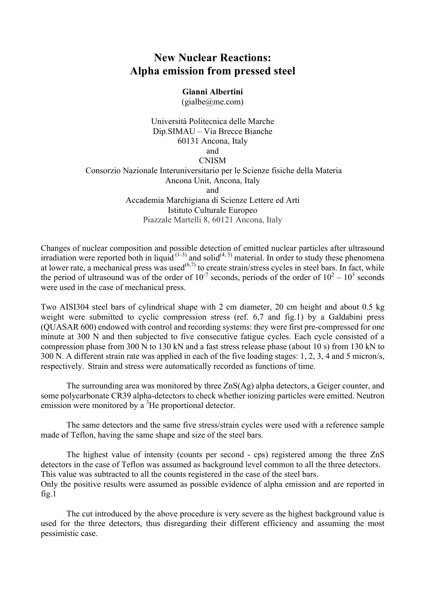## **New Nuclear Reactions: Alpha emission from pressed steel**

**Gianni Albertini**

(gialbe@me.com)

Università Politecnica delle Marche Dip.SIMAU – Via Brecce Bianche 60131 Ancona, Italy and CNISM Consorzio Nazionale Interuniversitario per le Scienze fisiche della Materia Ancona Unit, Ancona, Italy and Accademia Marchigiana di Scienze Lettere ed Arti Istituto Culturale Europeo Piazzale Martelli 8, 60121 Ancona, Italy

Changes of nuclear composition and possible detection of emitted nuclear particles after ultrasound irradiation were reported both in liquid  $(1-3)$  and solid $(4, 5)$  material. In order to study these phenomena at lower rate, a mechanical press was used<sup> $(6,7)$ </sup> to create strain/stress cycles in steel bars. In fact, while the period of ultrasound was of the order of  $10^{-7}$  seconds, periods of the order of  $10^2 - 10^3$  seconds were used in the case of mechanical press.

Two AISI304 steel bars of cylindrical shape with 2 cm diameter, 20 cm height and about 0.5 kg weight were submitted to cyclic compression stress (ref. 6.7 and fig.1) by a Galdabini press (QUASAR 600) endowed with control and recording systems: they were first pre-compressed for one minute at 300 N and then subjected to five consecutive fatigue cycles. Each cycle consisted of a compression phase from 300 N to 130 kN and a fast stress release phase (about 10 s) from 130 kN to 300 N. A different strain rate was applied in each of the five loading stages: 1, 2, 3, 4 and 5 micron/s, respectively. Strain and stress were automatically recorded as functions of time.

The surrounding area was monitored by three ZnS(Ag) alpha detectors, a Geiger counter, and some polycarbonate CR39 alpha-detectors to check whether ionizing particles were emitted. Neutron emission were monitored by  $a<sup>3</sup>$ He proportional detector.

The same detectors and the same five stress/strain cycles were used with a reference sample made of Teflon, having the same shape and size of the steel bars.

The highest value of intensity (counts per second - cps) registered among the three ZnS detectors in the case of Teflon was assumed as background level common to all the three detectors. This value was subtracted to all the counts registered in the case of the steel bars. Only the positive results were assumed as possible evidence of alpha emission and are reported in fig.1

The cut introduced by the above procedure is very severe as the highest background value is used for the three detectors, thus disregarding their different efficiency and assuming the most pessimistic case.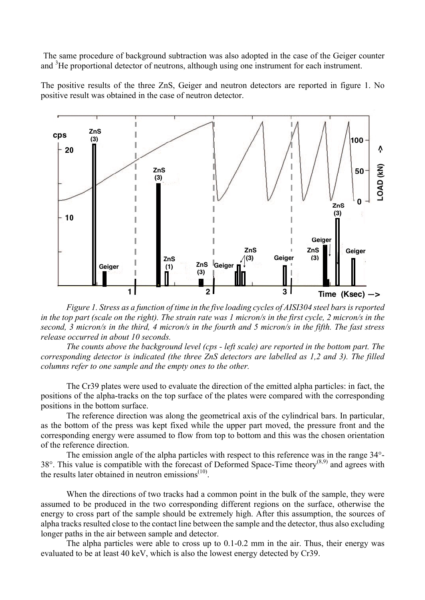The same procedure of background subtraction was also adopted in the case of the Geiger counter and <sup>3</sup>He proportional detector of neutrons, although using one instrument for each instrument.

The positive results of the three ZnS, Geiger and neutron detectors are reported in figure 1. No positive result was obtained in the case of neutron detector.



*Figure 1. Stress as a function of time in the five loading cycles of AISI304 steel bars is reported in the top part (scale on the right). The strain rate was 1 micron/s in the first cycle, 2 micron/s in the second, 3 micron/s in the third, 4 micron/s in the fourth and 5 micron/s in the fifth. The fast stress release occurred in about 10 seconds.*

*The counts above the background level (cps - left scale) are reported in the bottom part. The corresponding detector is indicated (the three ZnS detectors are labelled as 1,2 and 3). The filled columns refer to one sample and the empty ones to the other.*

The Cr39 plates were used to evaluate the direction of the emitted alpha particles: in fact, the positions of the alpha-tracks on the top surface of the plates were compared with the corresponding positions in the bottom surface.

The reference direction was along the geometrical axis of the cylindrical bars. In particular, as the bottom of the press was kept fixed while the upper part moved, the pressure front and the corresponding energy were assumed to flow from top to bottom and this was the chosen orientation of the reference direction.

The emission angle of the alpha particles with respect to this reference was in the range 34°- 38°. This value is compatible with the forecast of Deformed Space-Time theory<sup>(8,9)</sup> and agrees with the results later obtained in neutron emissions $(10)$ .

When the directions of two tracks had a common point in the bulk of the sample, they were assumed to be produced in the two corresponding different regions on the surface, otherwise the energy to cross part of the sample should be extremely high. After this assumption, the sources of alpha tracks resulted close to the contact line between the sample and the detector, thus also excluding longer paths in the air between sample and detector.

The alpha particles were able to cross up to 0.1-0.2 mm in the air. Thus, their energy was evaluated to be at least 40 keV, which is also the lowest energy detected by Cr39.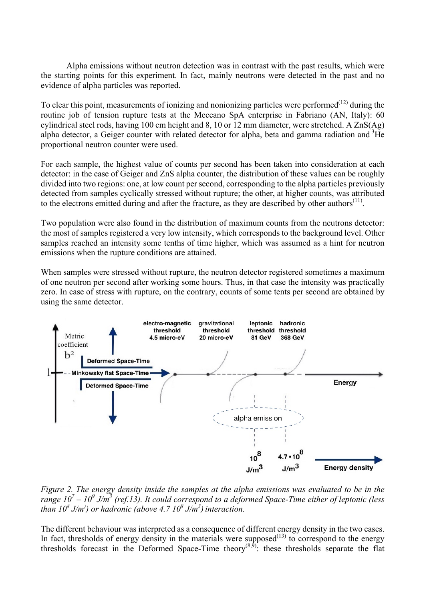Alpha emissions without neutron detection was in contrast with the past results, which were the starting points for this experiment. In fact, mainly neutrons were detected in the past and no evidence of alpha particles was reported.

To clear this point, measurements of ionizing and nonionizing particles were performed<sup> $(12)$ </sup> during the routine job of tension rupture tests at the Meccano SpA enterprise in Fabriano (AN, Italy): 60 cylindrical steel rods, having 100 cm height and 8, 10 or 12 mm diameter, were stretched. A ZnS(Ag) alpha detector, a Geiger counter with related detector for alpha, beta and gamma radiation and <sup>3</sup>He proportional neutron counter were used.

For each sample, the highest value of counts per second has been taken into consideration at each detector: in the case of Geiger and ZnS alpha counter, the distribution of these values can be roughly divided into two regions: one, at low count per second, corresponding to the alpha particles previously detected from samples cyclically stressed without rupture; the other, at higher counts, was attributed to the electrons emitted during and after the fracture, as they are described by other authors $<sup>(11)</sup>$ .</sup>

Two population were also found in the distribution of maximum counts from the neutrons detector: the most of samples registered a very low intensity, which corresponds to the background level. Other samples reached an intensity some tenths of time higher, which was assumed as a hint for neutron emissions when the rupture conditions are attained.

When samples were stressed without rupture, the neutron detector registered sometimes a maximum of one neutron per second after working some hours. Thus, in that case the intensity was practically zero. In case of stress with rupture, on the contrary, counts of some tents per second are obtained by using the same detector.



*Figure 2. The energy density inside the samples at the alpha emissions was evaluated to be in the range*  $10^7 - 10^9$  *J/m<sup>3</sup>* (ref.13). It could correspond to a deformed Space-Time either of leptonic (less *than 10<sup>8</sup> J/m) ) or hadronic (above 4.7 10<sup>8</sup> J/m<sup>3</sup> ) interaction.*

The different behaviour was interpreted as a consequence of different energy density in the two cases. In fact, thresholds of energy density in the materials were supposed $^{(13)}$  to correspond to the energy thresholds forecast in the Deformed Space-Time theory<sup>(8,9)</sup>: these thresholds separate the flat